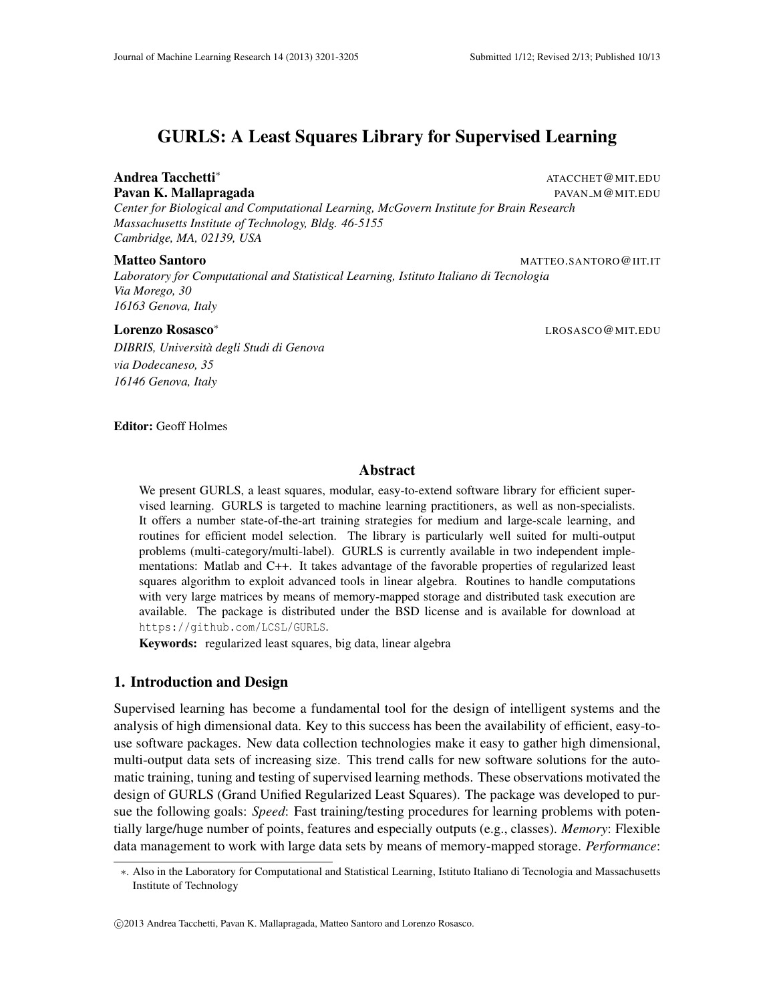# GURLS: A Least Squares Library for Supervised Learning

## **Andrea Tacchetti\*** ATACCHET **@MIT.EDU** ATACCHET **@MIT.EDU Pavan K. Mallapragada** PAVAN M<sup>@</sup>MIT.EDU

*Center for Biological and Computational Learning, McGovern Institute for Brain Research Massachusetts Institute of Technology, Bldg. 46-5155 Cambridge, MA, 02139, USA*

#### **Matteo Santoro Matteo Santoro MATTEO.SANTORO ANTEO SANTORO MATTEO.SANTORO MATTEO.SANTORO METALLO MET**

*Laboratory for Computational and Statistical Learning, Istituto Italiano di Tecnologia Via Morego, 30 16163 Genova, Italy*

#### Lorenzo Rosasco<sup>∗</sup>

*DIBRIS, Universita degli Studi di Genova ` via Dodecaneso, 35 16146 Genova, Italy*

LROSASCO@MIT.EDU

Editor: Geoff Holmes

#### Abstract

We present GURLS, a least squares, modular, easy-to-extend software library for efficient supervised learning. GURLS is targeted to machine learning practitioners, as well as non-specialists. It offers a number state-of-the-art training strategies for medium and large-scale learning, and routines for efficient model selection. The library is particularly well suited for multi-output problems (multi-category/multi-label). GURLS is currently available in two independent implementations: Matlab and C++. It takes advantage of the favorable properties of regularized least squares algorithm to exploit advanced tools in linear algebra. Routines to handle computations with very large matrices by means of memory-mapped storage and distributed task execution are available. The package is distributed under the BSD license and is available for download at https://github.com/LCSL/GURLS.

Keywords: regularized least squares, big data, linear algebra

### 1. Introduction and Design

Supervised learning has become a fundamental tool for the design of intelligent systems and the analysis of high dimensional data. Key to this success has been the availability of efficient, easy-touse software packages. New data collection technologies make it easy to gather high dimensional, multi-output data sets of increasing size. This trend calls for new software solutions for the automatic training, tuning and testing of supervised learning methods. These observations motivated the design of GURLS (Grand Unified Regularized Least Squares). The package was developed to pursue the following goals: *Speed*: Fast training/testing procedures for learning problems with potentially large/huge number of points, features and especially outputs (e.g., classes). *Memory*: Flexible data management to work with large data sets by means of memory-mapped storage. *Performance*:

<sup>∗</sup>. Also in the Laboratory for Computational and Statistical Learning, Istituto Italiano di Tecnologia and Massachusetts Institute of Technology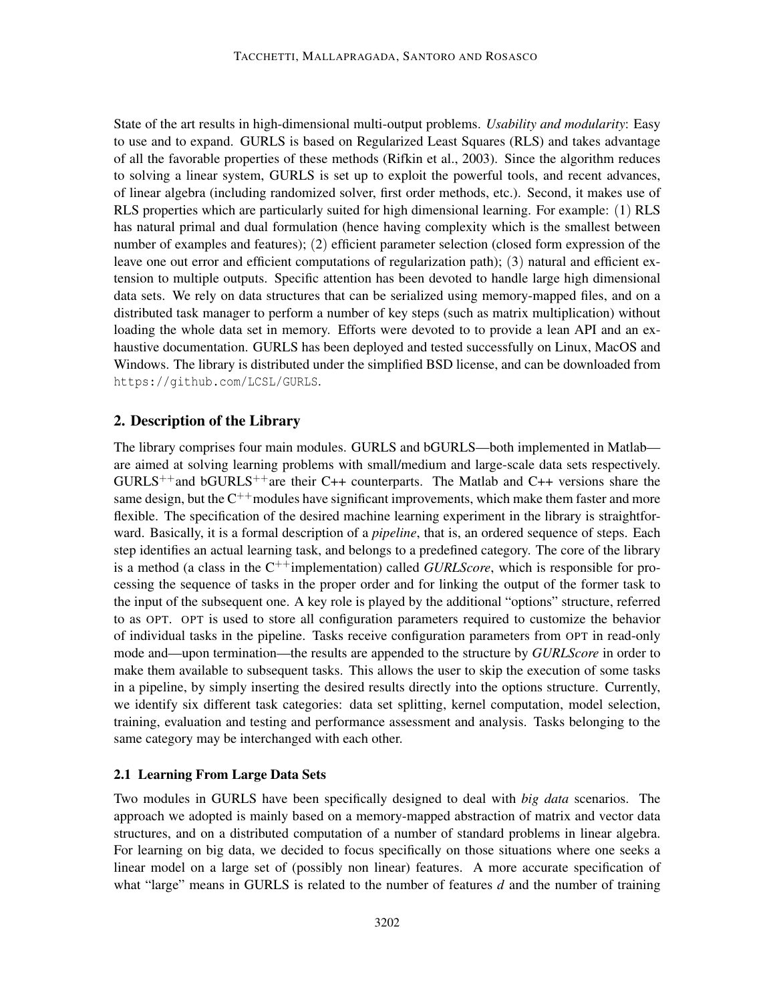State of the art results in high-dimensional multi-output problems. *Usability and modularity*: Easy to use and to expand. GURLS is based on Regularized Least Squares (RLS) and takes advantage of all the favorable properties of these methods (Rifkin et al., 2003). Since the algorithm reduces to solving a linear system, GURLS is set up to exploit the powerful tools, and recent advances, of linear algebra (including randomized solver, first order methods, etc.). Second, it makes use of RLS properties which are particularly suited for high dimensional learning. For example: (1) RLS has natural primal and dual formulation (hence having complexity which is the smallest between number of examples and features); (2) efficient parameter selection (closed form expression of the leave one out error and efficient computations of regularization path); (3) natural and efficient extension to multiple outputs. Specific attention has been devoted to handle large high dimensional data sets. We rely on data structures that can be serialized using memory-mapped files, and on a distributed task manager to perform a number of key steps (such as matrix multiplication) without loading the whole data set in memory. Efforts were devoted to to provide a lean API and an exhaustive documentation. GURLS has been deployed and tested successfully on Linux, MacOS and Windows. The library is distributed under the simplified BSD license, and can be downloaded from https://github.com/LCSL/GURLS.

### 2. Description of the Library

The library comprises four main modules. GURLS and bGURLS—both implemented in Matlab are aimed at solving learning problems with small/medium and large-scale data sets respectively.  $GURLS^{++}$ and b $GURLS^{++}$ are their C++ counterparts. The Matlab and C++ versions share the same design, but the  $C^{++}$ modules have significant improvements, which make them faster and more flexible. The specification of the desired machine learning experiment in the library is straightforward. Basically, it is a formal description of a *pipeline*, that is, an ordered sequence of steps. Each step identifies an actual learning task, and belongs to a predefined category. The core of the library is a method (a class in the  $C^{++}$ implementation) called *GURLScore*, which is responsible for processing the sequence of tasks in the proper order and for linking the output of the former task to the input of the subsequent one. A key role is played by the additional "options" structure, referred to as OPT. OPT is used to store all configuration parameters required to customize the behavior of individual tasks in the pipeline. Tasks receive configuration parameters from OPT in read-only mode and—upon termination—the results are appended to the structure by *GURLScore* in order to make them available to subsequent tasks. This allows the user to skip the execution of some tasks in a pipeline, by simply inserting the desired results directly into the options structure. Currently, we identify six different task categories: data set splitting, kernel computation, model selection, training, evaluation and testing and performance assessment and analysis. Tasks belonging to the same category may be interchanged with each other.

#### 2.1 Learning From Large Data Sets

Two modules in GURLS have been specifically designed to deal with *big data* scenarios. The approach we adopted is mainly based on a memory-mapped abstraction of matrix and vector data structures, and on a distributed computation of a number of standard problems in linear algebra. For learning on big data, we decided to focus specifically on those situations where one seeks a linear model on a large set of (possibly non linear) features. A more accurate specification of what "large" means in GURLS is related to the number of features *d* and the number of training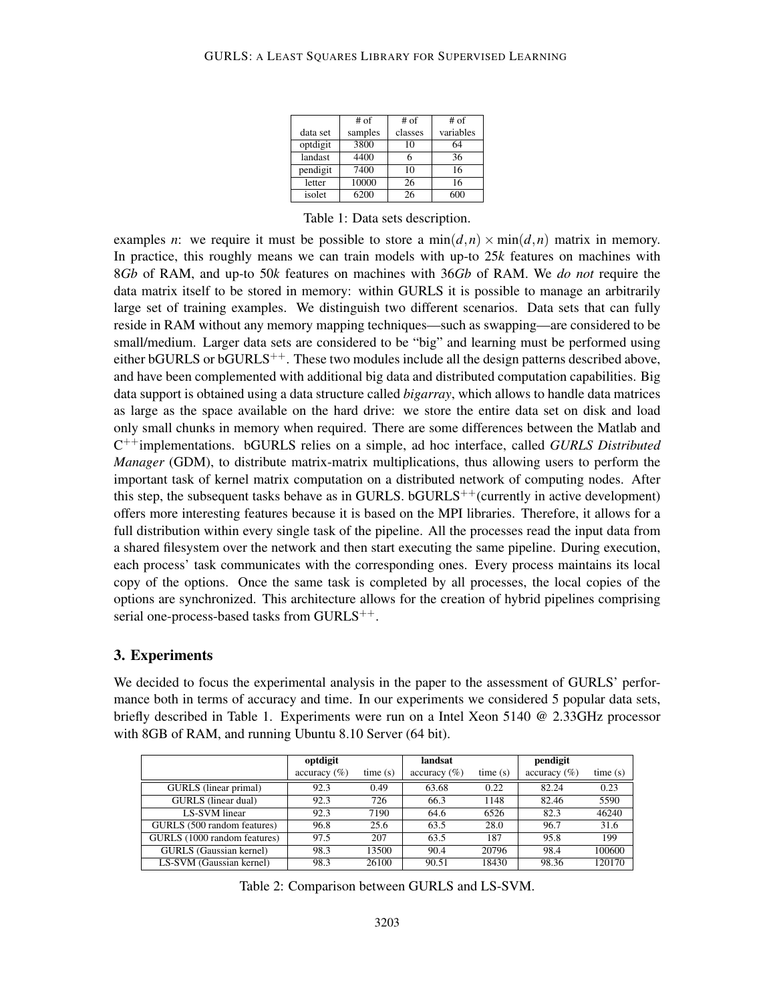|          | $#$ of  | $#$ of  | $#$ of    |  |  |  |  |
|----------|---------|---------|-----------|--|--|--|--|
| data set | samples | classes | variables |  |  |  |  |
| optdigit | 3800    | 10      | 64        |  |  |  |  |
| landast  | 4400    |         | 36        |  |  |  |  |
| pendigit | 7400    | 10      | 16        |  |  |  |  |
| letter   | 10000   | 26      | 16        |  |  |  |  |
| isolet   | 6200    | 26      |           |  |  |  |  |

Table 1: Data sets description.

examples *n*: we require it must be possible to store a  $\min(d, n) \times \min(d, n)$  matrix in memory. In practice, this roughly means we can train models with up-to 25*k* features on machines with 8*Gb* of RAM, and up-to 50*k* features on machines with 36*Gb* of RAM. We *do not* require the data matrix itself to be stored in memory: within GURLS it is possible to manage an arbitrarily large set of training examples. We distinguish two different scenarios. Data sets that can fully reside in RAM without any memory mapping techniques—such as swapping—are considered to be small/medium. Larger data sets are considered to be "big" and learning must be performed using either bGURLS or bGURLS<sup>++</sup>. These two modules include all the design patterns described above, and have been complemented with additional big data and distributed computation capabilities. Big data support is obtained using a data structure called *bigarray*, which allows to handle data matrices as large as the space available on the hard drive: we store the entire data set on disk and load only small chunks in memory when required. There are some differences between the Matlab and C ++implementations. bGURLS relies on a simple, ad hoc interface, called *GURLS Distributed Manager* (GDM), to distribute matrix-matrix multiplications, thus allowing users to perform the important task of kernel matrix computation on a distributed network of computing nodes. After this step, the subsequent tasks behave as in GURLS. bGURLS<sup>++</sup>(currently in active development) offers more interesting features because it is based on the MPI libraries. Therefore, it allows for a full distribution within every single task of the pipeline. All the processes read the input data from a shared filesystem over the network and then start executing the same pipeline. During execution, each process' task communicates with the corresponding ones. Every process maintains its local copy of the options. Once the same task is completed by all processes, the local copies of the options are synchronized. This architecture allows for the creation of hybrid pipelines comprising serial one-process-based tasks from  $GURLS^{++}$ .

### 3. Experiments

We decided to focus the experimental analysis in the paper to the assessment of GURLS' performance both in terms of accuracy and time. In our experiments we considered 5 popular data sets, briefly described in Table 1. Experiments were run on a Intel Xeon 5140 @ 2.33GHz processor with 8GB of RAM, and running Ubuntu 8.10 Server (64 bit).

|                              | optdigit        |         | landsat         |         | pendigit        |         |
|------------------------------|-----------------|---------|-----------------|---------|-----------------|---------|
|                              | $accuracy (\%)$ | time(s) | $accuracy (\%)$ | time(s) | $accuracy (\%)$ | time(s) |
| GURLS (linear primal)        | 92.3            | 0.49    | 63.68           | 0.22    | 82.24           | 0.23    |
| GURLS (linear dual)          | 92.3            | 726     | 66.3            | 1148    | 82.46           | 5590    |
| <b>LS-SVM</b> linear         | 92.3            | 7190    | 64.6            | 6526    | 82.3            | 46240   |
| GURLS (500 random features)  | 96.8            | 25.6    | 63.5            | 28.0    | 96.7            | 31.6    |
| GURLS (1000 random features) | 97.5            | 207     | 63.5            | 187     | 95.8            | 199     |
| GURLS (Gaussian kernel)      | 98.3            | 13500   | 90.4            | 20796   | 98.4            | 100600  |
| LS-SVM (Gaussian kernel)     | 98.3            | 26100   | 90.51           | 18430   | 98.36           | 120170  |

Table 2: Comparison between GURLS and LS-SVM.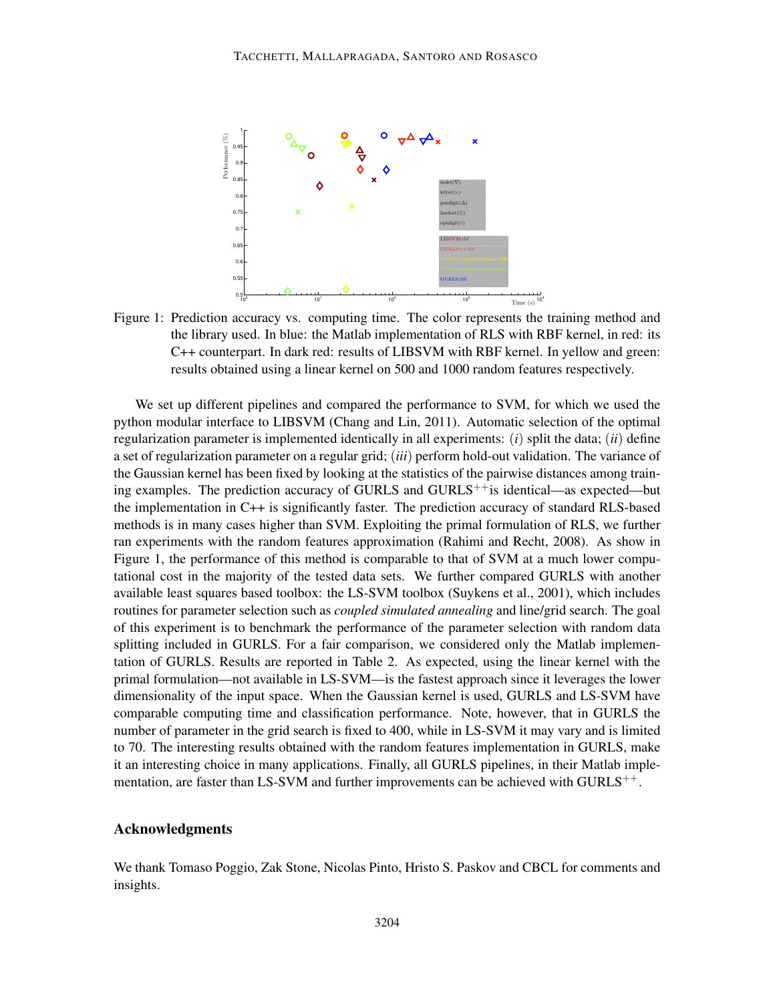



We set up different pipelines and compared the performance to SVM, for which we used the python modular interface to LIBSVM (Chang and Lin, 2011). Automatic selection of the optimal regularization parameter is implemented identically in all experiments: (*i*) split the data; (*ii*) define a set of regularization parameter on a regular grid; (*iii*) perform hold-out validation. The variance of the Gaussian kernel has been fixed by looking at the statistics of the pairwise distances among training examples. The prediction accuracy of GURLS and  $GURLS^{++}$  is identical—as expected—but the implementation in C++ is significantly faster. The prediction accuracy of standard RLS-based methods is in many cases higher than SVM. Exploiting the primal formulation of RLS, we further ran experiments with the random features approximation (Rahimi and Recht, 2008). As show in Figure 1, the performance of this method is comparable to that of SVM at a much lower computational cost in the majority of the tested data sets. We further compared GURLS with another available least squares based toolbox: the LS-SVM toolbox (Suykens et al., 2001), which includes routines for parameter selection such as *coupled simulated annealing* and line/grid search. The goal of this experiment is to benchmark the performance of the parameter selection with random data splitting included in GURLS. For a fair comparison, we considered only the Matlab implementation of GURLS. Results are reported in Table 2. As expected, using the linear kernel with the primal formulation—not available in LS-SVM—is the fastest approach since it leverages the lower dimensionality of the input space. When the Gaussian kernel is used, GURLS and LS-SVM have comparable computing time and classification performance. Note, however, that in GURLS the number of parameter in the grid search is fixed to 400, while in LS-SVM it may vary and is limited to 70. The interesting results obtained with the random features implementation in GURLS, make it an interesting choice in many applications. Finally, all GURLS pipelines, in their Matlab implementation, are faster than LS-SVM and further improvements can be achieved with  $GURLS^{++}$ .

#### Acknowledgments

We thank Tomaso Poggio, Zak Stone, Nicolas Pinto, Hristo S. Paskov and CBCL for comments and insights.